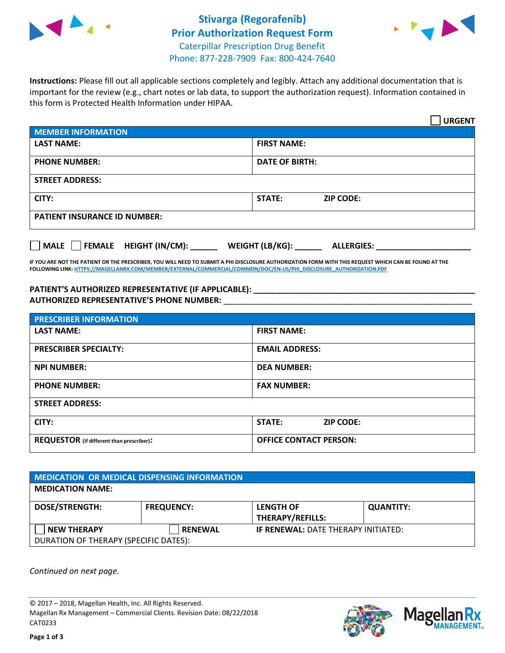



**Instructions:** Please fill out all applicable sections completely and legibly. Attach any additional documentation that is important for the review (e.g., chart notes or lab data, to support the authorization request). Information contained in this form is Protected Health Information under HIPAA.

|                                       | <b>URGENT</b>                        |  |  |  |
|---------------------------------------|--------------------------------------|--|--|--|
| <b>MEMBER INFORMATION</b>             |                                      |  |  |  |
| <b>LAST NAME:</b>                     | <b>FIRST NAME:</b>                   |  |  |  |
| <b>PHONE NUMBER:</b>                  | <b>DATE OF BIRTH:</b>                |  |  |  |
| <b>STREET ADDRESS:</b>                |                                      |  |  |  |
| CITY:                                 | STATE:<br><b>ZIP CODE:</b>           |  |  |  |
| <b>PATIENT INSURANCE ID NUMBER:</b>   |                                      |  |  |  |
| FEMALE HEIGHT (IN/CM):<br><b>MALE</b> | WEIGHT (LB/KG):<br><b>ALLERGIES:</b> |  |  |  |

**IF YOU ARE NOT THE PATIENT OR THE PRESCRIBER, YOU WILL NEED TO SUBMIT A PHI DISCLOSURE AUTHORIZATION FORM WITH THIS REQUEST WHICH CAN BE FOUND AT THE FOLLOWING LINK[: HTTPS://MAGELLANRX.COM/MEMBER/EXTERNAL/COMMERCIAL/COMMON/DOC/EN-US/PHI\\_DISCLOSURE\\_AUTHORIZATION.PDF](https://magellanrx.com/member/external/commercial/common/doc/en-us/PHI_Disclosure_Authorization.pdf)**

**PATIENT'S AUTHORIZED REPRESENTATIVE (IF APPLICABLE): \_\_\_\_\_\_\_\_\_\_\_\_\_\_\_\_\_\_\_\_\_\_\_\_\_\_\_\_\_\_\_\_\_\_\_\_\_\_\_\_\_\_\_\_\_\_\_\_\_ AUTHORIZED REPRESENTATIVE'S PHONE NUMBER:** \_\_\_\_\_\_\_\_\_\_\_\_\_\_\_\_\_\_\_\_\_\_\_\_\_\_\_\_\_\_\_\_\_\_\_\_\_\_\_\_\_\_\_\_\_\_\_\_\_\_\_\_\_\_\_

| <b>PRESCRIBER INFORMATION</b>             |                               |  |  |  |
|-------------------------------------------|-------------------------------|--|--|--|
| <b>LAST NAME:</b>                         | <b>FIRST NAME:</b>            |  |  |  |
| <b>PRESCRIBER SPECIALTY:</b>              | <b>EMAIL ADDRESS:</b>         |  |  |  |
| <b>NPI NUMBER:</b>                        | <b>DEA NUMBER:</b>            |  |  |  |
| <b>PHONE NUMBER:</b>                      | <b>FAX NUMBER:</b>            |  |  |  |
| <b>STREET ADDRESS:</b>                    |                               |  |  |  |
| CITY:                                     | STATE:<br><b>ZIP CODE:</b>    |  |  |  |
| REQUESTOR (if different than prescriber): | <b>OFFICE CONTACT PERSON:</b> |  |  |  |

| <b>MEDICATION OR MEDICAL DISPENSING INFORMATION</b> |                   |                                            |                  |  |  |
|-----------------------------------------------------|-------------------|--------------------------------------------|------------------|--|--|
| <b>MEDICATION NAME:</b>                             |                   |                                            |                  |  |  |
| <b>DOSE/STRENGTH:</b>                               | <b>FREQUENCY:</b> | <b>LENGTH OF</b>                           | <b>QUANTITY:</b> |  |  |
|                                                     |                   | <b>THERAPY/REFILLS:</b>                    |                  |  |  |
| <b>NEW THERAPY</b>                                  | <b>RENEWAL</b>    | <b>IF RENEWAL: DATE THERAPY INITIATED:</b> |                  |  |  |
| DURATION OF THERAPY (SPECIFIC DATES):               |                   |                                            |                  |  |  |

*Continued on next page.*

© 2017 – 2018, Magellan Health, Inc. All Rights Reserved. Magellan Rx Management – Commercial Clients. Revision Date: 08/22/2018 CAT0233



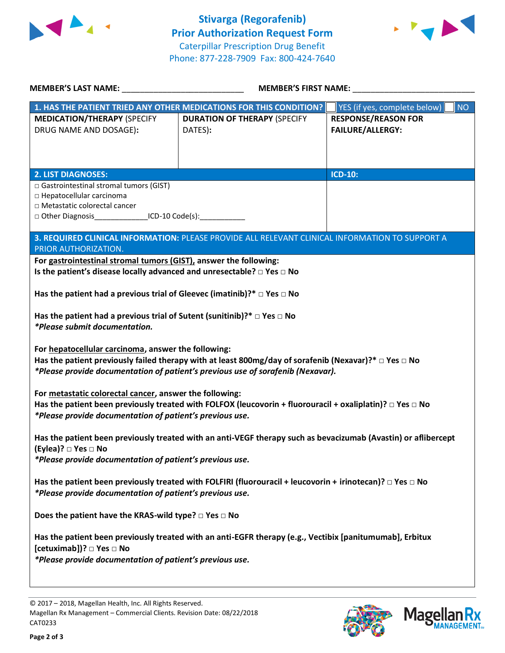



| <b>MEMBER'S LAST NAME:</b>                                                                                                                                                                                                                                | <b>MEMBER'S FIRST NAME:</b>                                                                     |                                                       |  |  |
|-----------------------------------------------------------------------------------------------------------------------------------------------------------------------------------------------------------------------------------------------------------|-------------------------------------------------------------------------------------------------|-------------------------------------------------------|--|--|
|                                                                                                                                                                                                                                                           | 1. HAS THE PATIENT TRIED ANY OTHER MEDICATIONS FOR THIS CONDITION?                              | YES (if yes, complete below)<br><b>NO</b>             |  |  |
| <b>MEDICATION/THERAPY (SPECIFY</b><br>DRUG NAME AND DOSAGE):                                                                                                                                                                                              | <b>DURATION OF THERAPY (SPECIFY</b><br>DATES):                                                  | <b>RESPONSE/REASON FOR</b><br><b>FAILURE/ALLERGY:</b> |  |  |
|                                                                                                                                                                                                                                                           |                                                                                                 | <b>ICD-10:</b>                                        |  |  |
| <b>2. LIST DIAGNOSES:</b><br>□ Gastrointestinal stromal tumors (GIST)<br>□ Hepatocellular carcinoma<br>□ Metastatic colorectal cancer<br>□ Other Diagnosis________________ICD-10 Code(s):______________                                                   |                                                                                                 |                                                       |  |  |
| PRIOR AUTHORIZATION.                                                                                                                                                                                                                                      | 3. REQUIRED CLINICAL INFORMATION: PLEASE PROVIDE ALL RELEVANT CLINICAL INFORMATION TO SUPPORT A |                                                       |  |  |
|                                                                                                                                                                                                                                                           |                                                                                                 |                                                       |  |  |
| For gastrointestinal stromal tumors (GIST), answer the following:<br>Is the patient's disease locally advanced and unresectable? $\square$ Yes $\square$ No<br>Has the patient had a previous trial of Gleevec (imatinib)?* $\Box$ Yes $\Box$ No          |                                                                                                 |                                                       |  |  |
| Has the patient had a previous trial of Sutent (sunitinib)?* $\Box$ Yes $\Box$ No<br>*Please submit documentation.                                                                                                                                        |                                                                                                 |                                                       |  |  |
| For hepatocellular carcinoma, answer the following:<br>Has the patient previously failed therapy with at least 800mg/day of sorafenib (Nexavar)?* $\Box$ Yes $\Box$ No<br>*Please provide documentation of patient's previous use of sorafenib (Nexavar). |                                                                                                 |                                                       |  |  |
| For metastatic colorectal cancer, answer the following:<br>Has the patient been previously treated with FOLFOX (leucovorin + fluorouracil + oxaliplatin)? $\Box$ Yes $\Box$ No<br>*Please provide documentation of patient's previous use.                |                                                                                                 |                                                       |  |  |
| Has the patient been previously treated with an anti-VEGF therapy such as bevacizumab (Avastin) or aflibercept<br>(Eylea)? □ Yes □ No<br>*Please provide documentation of patient's previous use.                                                         |                                                                                                 |                                                       |  |  |
| Has the patient been previously treated with FOLFIRI (fluorouracil + leucovorin + irinotecan)? $\Box$ Yes $\Box$ No<br>*Please provide documentation of patient's previous use.                                                                           |                                                                                                 |                                                       |  |  |
| Does the patient have the KRAS-wild type? $\square$ Yes $\square$ No                                                                                                                                                                                      |                                                                                                 |                                                       |  |  |
| Has the patient been previously treated with an anti-EGFR therapy (e.g., Vectibix [panitumumab], Erbitux<br>[cetuximab])? □ Yes □ No<br>*Please provide documentation of patient's previous use.                                                          |                                                                                                 |                                                       |  |  |

© 2017 – 2018, Magellan Health, Inc. All Rights Reserved. Magellan Rx Management – Commercial Clients. Revision Date: 08/22/2018 CAT0233